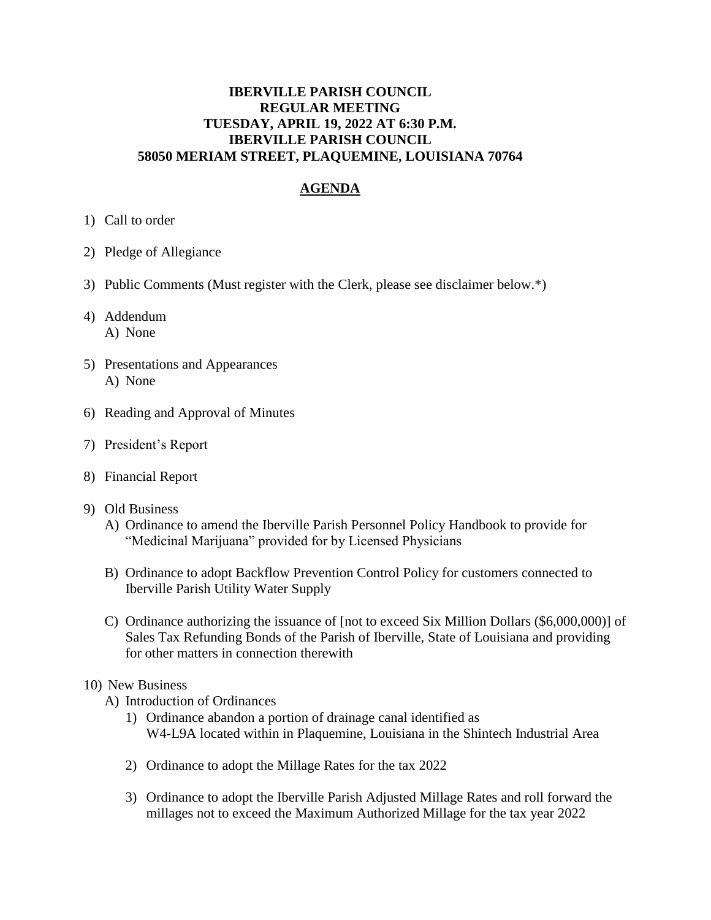## **IBERVILLE PARISH COUNCIL REGULAR MEETING TUESDAY, APRIL 19, 2022 AT 6:30 P.M. IBERVILLE PARISH COUNCIL 58050 MERIAM STREET, PLAQUEMINE, LOUISIANA 70764**

## **AGENDA**

- 1) Call to order
- 2) Pledge of Allegiance
- 3) Public Comments (Must register with the Clerk, please see disclaimer below.\*)
- 4) Addendum A) None
- 5) Presentations and Appearances A) None
- 6) Reading and Approval of Minutes
- 7) President's Report
- 8) Financial Report
- 9) Old Business
	- A) Ordinance to amend the Iberville Parish Personnel Policy Handbook to provide for "Medicinal Marijuana" provided for by Licensed Physicians
	- B) Ordinance to adopt Backflow Prevention Control Policy for customers connected to Iberville Parish Utility Water Supply
	- C) Ordinance authorizing the issuance of [not to exceed Six Million Dollars (\$6,000,000)] of Sales Tax Refunding Bonds of the Parish of Iberville, State of Louisiana and providing for other matters in connection therewith

## 10) New Business

- A) Introduction of Ordinances
	- 1) Ordinance abandon a portion of drainage canal identified as W4-L9A located within in Plaquemine, Louisiana in the Shintech Industrial Area
	- 2) Ordinance to adopt the Millage Rates for the tax 2022
	- 3) Ordinance to adopt the Iberville Parish Adjusted Millage Rates and roll forward the millages not to exceed the Maximum Authorized Millage for the tax year 2022